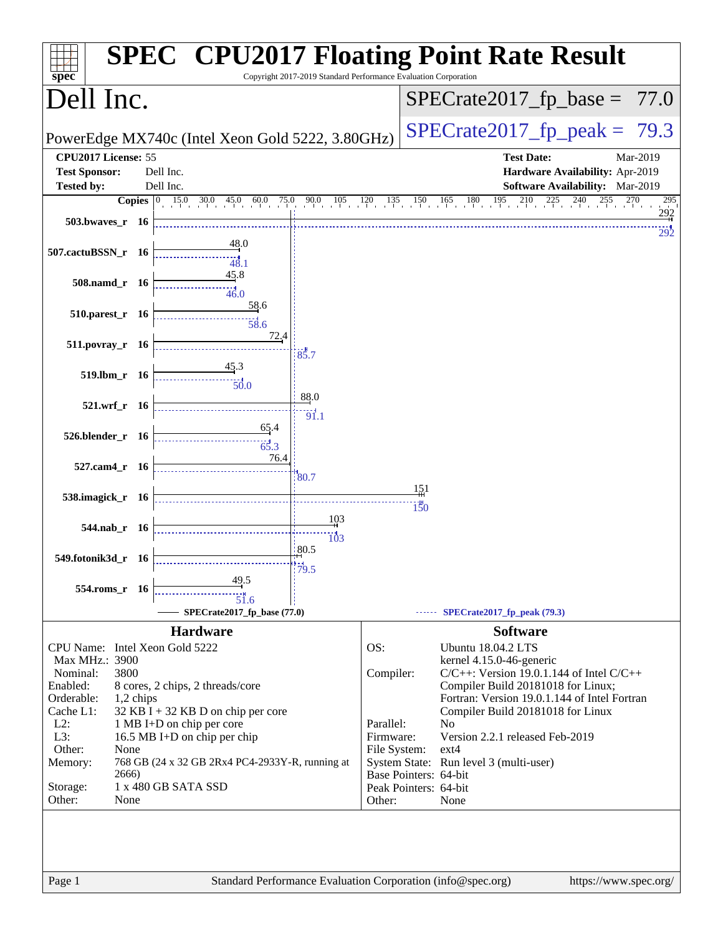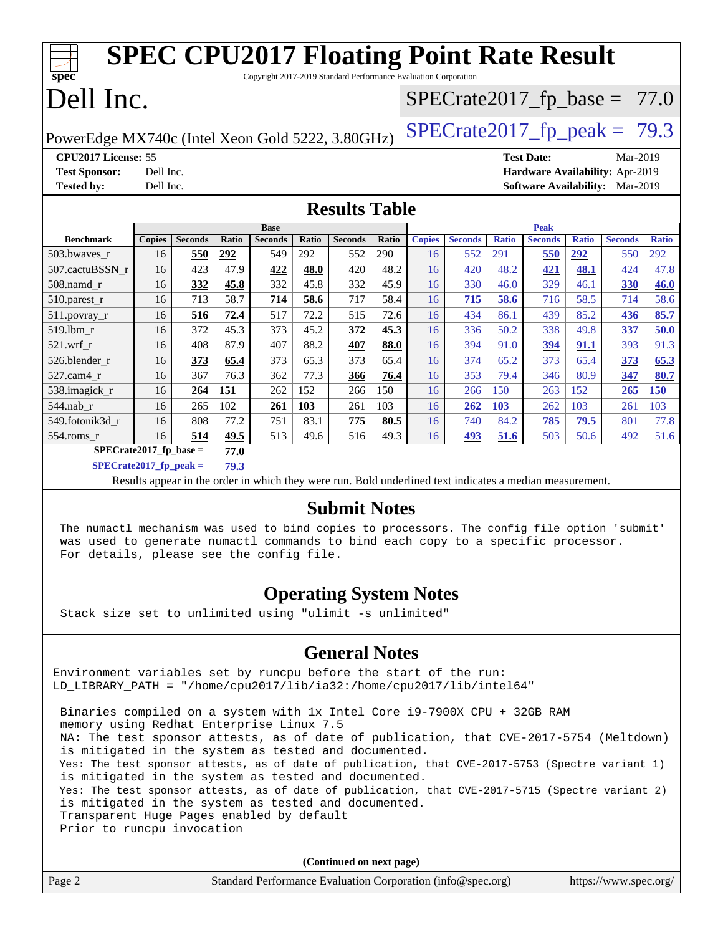|                                                                                    |                                  | <b>SPEC CPU2017 Floating Point Rate Result</b> |       |                                                                 |       |                |       |               |                |              |                   |              |                                        |              |
|------------------------------------------------------------------------------------|----------------------------------|------------------------------------------------|-------|-----------------------------------------------------------------|-------|----------------|-------|---------------|----------------|--------------|-------------------|--------------|----------------------------------------|--------------|
| spec                                                                               |                                  |                                                |       | Copyright 2017-2019 Standard Performance Evaluation Corporation |       |                |       |               |                |              |                   |              |                                        |              |
| Dell Inc.<br>$SPECTate2017_fp\_base = 77.0$                                        |                                  |                                                |       |                                                                 |       |                |       |               |                |              |                   |              |                                        |              |
| $SPECTate2017_fp\_peak = 79.3$<br>PowerEdge MX740c (Intel Xeon Gold 5222, 3.80GHz) |                                  |                                                |       |                                                                 |       |                |       |               |                |              |                   |              |                                        |              |
| CPU2017 License: 55                                                                |                                  |                                                |       |                                                                 |       |                |       |               |                |              | <b>Test Date:</b> |              | Mar-2019                               |              |
| <b>Test Sponsor:</b>                                                               | Dell Inc.                        |                                                |       |                                                                 |       |                |       |               |                |              |                   |              | Hardware Availability: Apr-2019        |              |
| <b>Tested by:</b>                                                                  | Dell Inc.                        |                                                |       |                                                                 |       |                |       |               |                |              |                   |              | <b>Software Availability:</b> Mar-2019 |              |
| <b>Results Table</b>                                                               |                                  |                                                |       |                                                                 |       |                |       |               |                |              |                   |              |                                        |              |
|                                                                                    |                                  |                                                |       | <b>Base</b>                                                     |       |                |       |               |                |              | <b>Peak</b>       |              |                                        |              |
| <b>Benchmark</b>                                                                   | <b>Copies</b>                    | <b>Seconds</b>                                 | Ratio | <b>Seconds</b>                                                  | Ratio | <b>Seconds</b> | Ratio | <b>Copies</b> | <b>Seconds</b> | <b>Ratio</b> | <b>Seconds</b>    | <b>Ratio</b> | <b>Seconds</b>                         | <b>Ratio</b> |
| 503.bwaves_r                                                                       | 16                               | 550                                            | 292   | 549                                                             | 292   | 552            | 290   | 16            | 552            | 291          | 550               | <u>292</u>   | 550                                    | 292          |
| 507.cactuBSSN r                                                                    | 16                               | 423                                            | 47.9  | 422                                                             | 48.0  | 420            | 48.2  | 16            | 420            | 48.2         | 421               | 48.1         | 424                                    | 47.8         |
| $508$ .namd $r$                                                                    | 16                               | 332                                            | 45.8  | 332                                                             | 45.8  | 332            | 45.9  | 16            | 330            | 46.0         | 329               | 46.1         | 330                                    | 46.0         |
| $510.parest_r$                                                                     | 16                               | 713                                            | 58.7  | 714                                                             | 58.6  | 717            | 58.4  | 16            | 715            | 58.6         | 716               | 58.5         | 714                                    | 58.6         |
| 511.povray_r                                                                       | 16                               | 516                                            | 72.4  | 517                                                             | 72.2  | 515            | 72.6  | 16            | 434            | 86.1         | 439               | 85.2         | 436                                    | 85.7         |
| 519.lbm r                                                                          | 16                               | 372                                            | 45.3  | 373                                                             | 45.2  | 372            | 45.3  | 16            | 336            | 50.2         | 338               | 49.8         | 337                                    | 50.0         |
| $521.wrf$ r                                                                        | 16                               | 408                                            | 87.9  | 407                                                             | 88.2  | 407            | 88.0  | 16            | 394            | 91.0         | 394               | 91.1         | 393                                    | 91.3         |
| 526.blender r                                                                      | 16                               | 373                                            | 65.4  | 373                                                             | 65.3  | 373            | 65.4  | 16            | 374            | 65.2         | 373               | 65.4         | 373                                    | 65.3         |
| 527.cam4 r                                                                         | 16                               | 367                                            | 76.3  | 362                                                             | 77.3  | 366            | 76.4  | 16            | 353            | 79.4         | 346               | 80.9         | 347                                    | 80.7         |
| 538.imagick r                                                                      | 16                               | 264                                            | 151   | 262                                                             | 152   | 266            | 150   | 16            | 266            | 150          | 263               | 152          | 265                                    | 150          |
| 544.nab r                                                                          | 16                               | 265                                            | 102   | 261                                                             | 103   | 261            | 103   | 16            | 262            | 103          | 262               | 103          | 261                                    | 103          |
| 549.fotonik3d r                                                                    | 16                               | 808                                            | 77.2  | 751                                                             | 83.1  | 775            | 80.5  | 16            | 740            | 84.2         | 785               | 79.5         | 801                                    | 77.8         |
| 554.roms_r                                                                         | 16                               | 514                                            | 49.5  | 513                                                             | 49.6  | 516            | 49.3  | 16            | 493            | 51.6         | 503               | 50.6         | 492                                    | 51.6         |
| $SPECrate2017_fp\_base =$                                                          |                                  |                                                | 77.0  |                                                                 |       |                |       |               |                |              |                   |              |                                        |              |
|                                                                                    | $SPECrate2017$ fp peak =<br>79.3 |                                                |       |                                                                 |       |                |       |               |                |              |                   |              |                                        |              |

Results appear in the [order in which they were run.](http://www.spec.org/auto/cpu2017/Docs/result-fields.html#RunOrder) Bold underlined text [indicates a median measurement.](http://www.spec.org/auto/cpu2017/Docs/result-fields.html#Median)

### **[Submit Notes](http://www.spec.org/auto/cpu2017/Docs/result-fields.html#SubmitNotes)**

 The numactl mechanism was used to bind copies to processors. The config file option 'submit' was used to generate numactl commands to bind each copy to a specific processor. For details, please see the config file.

## **[Operating System Notes](http://www.spec.org/auto/cpu2017/Docs/result-fields.html#OperatingSystemNotes)**

Stack size set to unlimited using "ulimit -s unlimited"

## **[General Notes](http://www.spec.org/auto/cpu2017/Docs/result-fields.html#GeneralNotes)**

Environment variables set by runcpu before the start of the run: LD\_LIBRARY\_PATH = "/home/cpu2017/lib/ia32:/home/cpu2017/lib/intel64"

 Binaries compiled on a system with 1x Intel Core i9-7900X CPU + 32GB RAM memory using Redhat Enterprise Linux 7.5 NA: The test sponsor attests, as of date of publication, that CVE-2017-5754 (Meltdown) is mitigated in the system as tested and documented. Yes: The test sponsor attests, as of date of publication, that CVE-2017-5753 (Spectre variant 1) is mitigated in the system as tested and documented. Yes: The test sponsor attests, as of date of publication, that CVE-2017-5715 (Spectre variant 2) is mitigated in the system as tested and documented. Transparent Huge Pages enabled by default Prior to runcpu invocation

**(Continued on next page)**

|        | (Continued on next page)                                    |                       |
|--------|-------------------------------------------------------------|-----------------------|
| Page 2 | Standard Performance Evaluation Corporation (info@spec.org) | https://www.spec.org/ |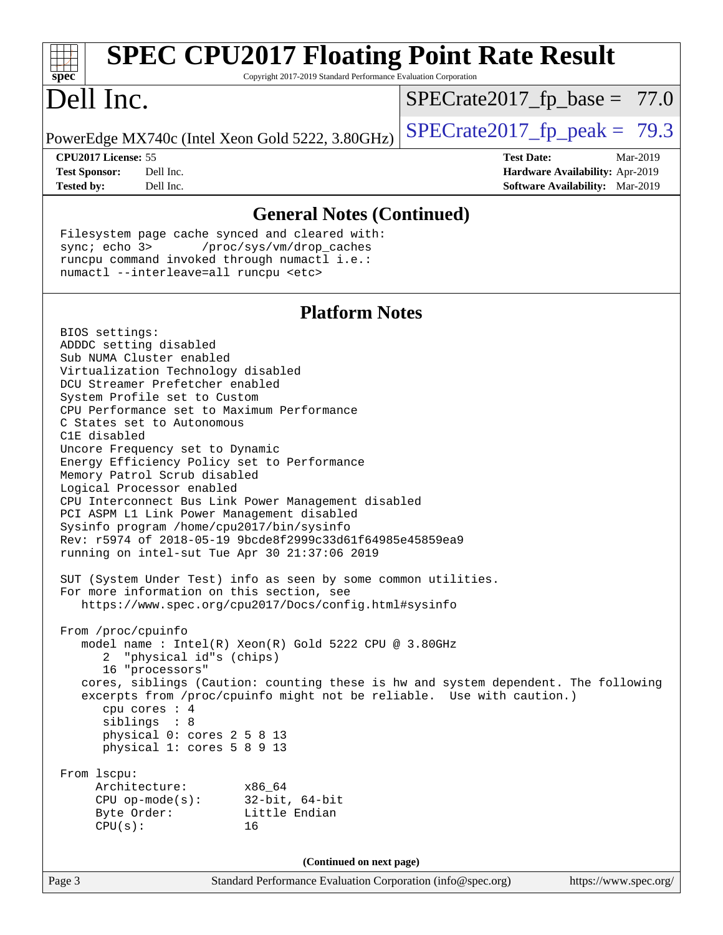| <b>SPEC CPU2017 Floating Point Rate Result</b>                                                                                                                                                                                                                                                                                                                                                                                                                                                                                                                                                                                                                         |                                                                                                     |
|------------------------------------------------------------------------------------------------------------------------------------------------------------------------------------------------------------------------------------------------------------------------------------------------------------------------------------------------------------------------------------------------------------------------------------------------------------------------------------------------------------------------------------------------------------------------------------------------------------------------------------------------------------------------|-----------------------------------------------------------------------------------------------------|
| spec <sup>®</sup><br>Copyright 2017-2019 Standard Performance Evaluation Corporation<br>Dell Inc.                                                                                                                                                                                                                                                                                                                                                                                                                                                                                                                                                                      | $SPECrate2017_fp\_base = 77.0$                                                                      |
| PowerEdge MX740c (Intel Xeon Gold 5222, 3.80GHz)                                                                                                                                                                                                                                                                                                                                                                                                                                                                                                                                                                                                                       | $SPECTate2017_fp\_peak = 79.3$                                                                      |
| CPU2017 License: 55<br><b>Test Sponsor:</b><br>Dell Inc.<br><b>Tested by:</b><br>Dell Inc.                                                                                                                                                                                                                                                                                                                                                                                                                                                                                                                                                                             | <b>Test Date:</b><br>Mar-2019<br>Hardware Availability: Apr-2019<br>Software Availability: Mar-2019 |
| <b>General Notes (Continued)</b>                                                                                                                                                                                                                                                                                                                                                                                                                                                                                                                                                                                                                                       |                                                                                                     |
| Filesystem page cache synced and cleared with:<br>sync; echo 3><br>/proc/sys/vm/drop_caches<br>runcpu command invoked through numactl i.e.:<br>numactl --interleave=all runcpu <etc></etc>                                                                                                                                                                                                                                                                                                                                                                                                                                                                             |                                                                                                     |
| <b>Platform Notes</b><br>BIOS settings:                                                                                                                                                                                                                                                                                                                                                                                                                                                                                                                                                                                                                                |                                                                                                     |
| ADDDC setting disabled<br>Sub NUMA Cluster enabled<br>Virtualization Technology disabled<br>DCU Streamer Prefetcher enabled<br>System Profile set to Custom<br>CPU Performance set to Maximum Performance<br>C States set to Autonomous<br>C1E disabled<br>Uncore Frequency set to Dynamic<br>Energy Efficiency Policy set to Performance<br>Memory Patrol Scrub disabled<br>Logical Processor enabled<br>CPU Interconnect Bus Link Power Management disabled<br>PCI ASPM L1 Link Power Management disabled<br>Sysinfo program /home/cpu2017/bin/sysinfo<br>Rev: r5974 of 2018-05-19 9bcde8f2999c33d61f64985e45859ea9<br>running on intel-sut Tue Apr 30 21:37:06 2019 |                                                                                                     |
| SUT (System Under Test) info as seen by some common utilities.<br>For more information on this section, see<br>https://www.spec.org/cpu2017/Docs/config.html#sysinfo                                                                                                                                                                                                                                                                                                                                                                                                                                                                                                   |                                                                                                     |
| From /proc/cpuinfo<br>model name: Intel(R) Xeon(R) Gold 5222 CPU @ 3.80GHz<br>2 "physical id"s (chips)<br>16 "processors"<br>cores, siblings (Caution: counting these is hw and system dependent. The following<br>excerpts from /proc/cpuinfo might not be reliable. Use with caution.)<br>cpu cores $: 4$<br>siblings : 8<br>physical 0: cores 2 5 8 13<br>physical 1: cores 5 8 9 13                                                                                                                                                                                                                                                                                |                                                                                                     |
| From 1scpu:<br>Architecture:<br>x86 64<br>CPU op-mode(s): $32-bit$ , 64-bit<br>Little Endian<br>Byte Order:<br>CPU(s):<br>16                                                                                                                                                                                                                                                                                                                                                                                                                                                                                                                                           |                                                                                                     |
| (Continued on next page)                                                                                                                                                                                                                                                                                                                                                                                                                                                                                                                                                                                                                                               |                                                                                                     |

Page 3 Standard Performance Evaluation Corporation [\(info@spec.org\)](mailto:info@spec.org) <https://www.spec.org/>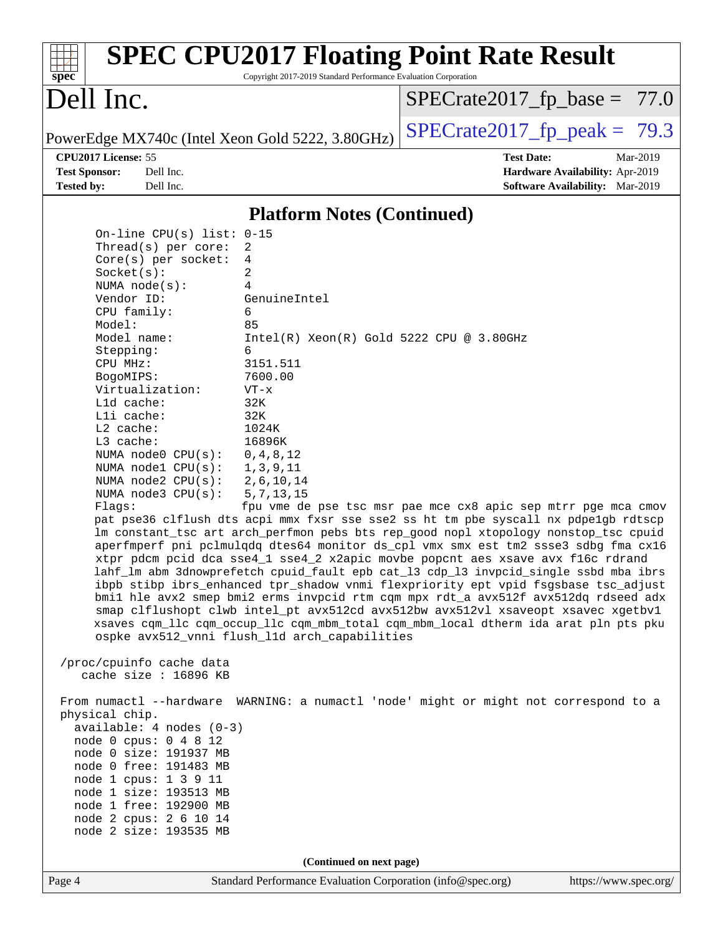| $spec^*$                                                                                                                                                                                                                                                                                                                                                                                                                                                                                                                                                                                                                                                            | <b>SPEC CPU2017 Floating Point Rate Result</b><br>Copyright 2017-2019 Standard Performance Evaluation Corporation                                                                                                                                                                                                                                                                                                                                                                                                                                                                                                                                                                                                                                                                                                                                                                                                                                                                                                                                                                    |                                                               |                                        |
|---------------------------------------------------------------------------------------------------------------------------------------------------------------------------------------------------------------------------------------------------------------------------------------------------------------------------------------------------------------------------------------------------------------------------------------------------------------------------------------------------------------------------------------------------------------------------------------------------------------------------------------------------------------------|--------------------------------------------------------------------------------------------------------------------------------------------------------------------------------------------------------------------------------------------------------------------------------------------------------------------------------------------------------------------------------------------------------------------------------------------------------------------------------------------------------------------------------------------------------------------------------------------------------------------------------------------------------------------------------------------------------------------------------------------------------------------------------------------------------------------------------------------------------------------------------------------------------------------------------------------------------------------------------------------------------------------------------------------------------------------------------------|---------------------------------------------------------------|----------------------------------------|
| Dell Inc.                                                                                                                                                                                                                                                                                                                                                                                                                                                                                                                                                                                                                                                           |                                                                                                                                                                                                                                                                                                                                                                                                                                                                                                                                                                                                                                                                                                                                                                                                                                                                                                                                                                                                                                                                                      | $SPECrate2017_fp\_base = 77.0$                                |                                        |
| PowerEdge MX740c (Intel Xeon Gold 5222, 3.80GHz)                                                                                                                                                                                                                                                                                                                                                                                                                                                                                                                                                                                                                    |                                                                                                                                                                                                                                                                                                                                                                                                                                                                                                                                                                                                                                                                                                                                                                                                                                                                                                                                                                                                                                                                                      | $SPECrate2017_fp\_peak = 79.3$                                |                                        |
| CPU2017 License: 55                                                                                                                                                                                                                                                                                                                                                                                                                                                                                                                                                                                                                                                 |                                                                                                                                                                                                                                                                                                                                                                                                                                                                                                                                                                                                                                                                                                                                                                                                                                                                                                                                                                                                                                                                                      | <b>Test Date:</b>                                             | Mar-2019                               |
| <b>Test Sponsor:</b><br>Dell Inc.                                                                                                                                                                                                                                                                                                                                                                                                                                                                                                                                                                                                                                   |                                                                                                                                                                                                                                                                                                                                                                                                                                                                                                                                                                                                                                                                                                                                                                                                                                                                                                                                                                                                                                                                                      |                                                               | Hardware Availability: Apr-2019        |
| <b>Tested by:</b><br>Dell Inc.                                                                                                                                                                                                                                                                                                                                                                                                                                                                                                                                                                                                                                      |                                                                                                                                                                                                                                                                                                                                                                                                                                                                                                                                                                                                                                                                                                                                                                                                                                                                                                                                                                                                                                                                                      |                                                               | <b>Software Availability:</b> Mar-2019 |
|                                                                                                                                                                                                                                                                                                                                                                                                                                                                                                                                                                                                                                                                     | <b>Platform Notes (Continued)</b>                                                                                                                                                                                                                                                                                                                                                                                                                                                                                                                                                                                                                                                                                                                                                                                                                                                                                                                                                                                                                                                    |                                                               |                                        |
| On-line CPU(s) list: 0-15<br>Thread( $s$ ) per core:<br>Core(s) per socket:<br>Socket(s):<br>NUMA $node(s):$<br>Vendor ID:<br>CPU family:<br>Model:<br>Model name:<br>Stepping:<br>CPU MHz:<br>BogoMIPS:<br>Virtualization:<br>L1d cache:<br>Lli cache:<br>$L2$ cache:<br>L3 cache:<br>NUMA node0 CPU(s):<br>NUMA nodel CPU(s):<br>NUMA node2 CPU(s):<br>NUMA $node3$ $CPU(s):$<br>Flags:<br>/proc/cpuinfo cache data<br>cache size : 16896 KB<br>From numactl --hardware WARNING: a numactl 'node' might or might not correspond to a<br>physical chip.<br>$available: 4 nodes (0-3)$<br>node 0 cpus: 0 4 8 12<br>node 0 size: 191937 MB<br>node 0 free: 191483 MB | 2<br>4<br>2<br>4<br>GenuineIntel<br>6<br>85<br>$Intel(R) Xeon(R) Gold 5222 CPU @ 3.80GHz$<br>6<br>3151.511<br>7600.00<br>$VT - x$<br>32K<br>32K<br>1024K<br>16896K<br>0, 4, 8, 12<br>1, 3, 9, 11<br>2,6,10,14<br>5, 7, 13, 15<br>pat pse36 clflush dts acpi mmx fxsr sse sse2 ss ht tm pbe syscall nx pdpelgb rdtscp<br>lm constant_tsc art arch_perfmon pebs bts rep_good nopl xtopology nonstop_tsc cpuid<br>aperfmperf pni pclmulqdq dtes64 monitor ds_cpl vmx smx est tm2 ssse3 sdbg fma cx16<br>xtpr pdcm pcid dca sse4_1 sse4_2 x2apic movbe popcnt aes xsave avx f16c rdrand<br>lahf_lm abm 3dnowprefetch cpuid_fault epb cat_13 cdp_13 invpcid_single ssbd mba ibrs<br>ibpb stibp ibrs_enhanced tpr_shadow vnmi flexpriority ept vpid fsgsbase tsc_adjust<br>bmil hle avx2 smep bmi2 erms invpcid rtm cqm mpx rdt_a avx512f avx512dq rdseed adx<br>smap clflushopt clwb intel_pt avx512cd avx512bw avx512vl xsaveopt xsavec xgetbvl<br>xsaves cqm_llc cqm_occup_llc cqm_mbm_total cqm_mbm_local dtherm ida arat pln pts pku<br>ospke avx512_vnni flush_l1d arch_capabilities | fpu vme de pse tsc msr pae mce cx8 apic sep mtrr pge mca cmov |                                        |
| node 1 cpus: 1 3 9 11                                                                                                                                                                                                                                                                                                                                                                                                                                                                                                                                                                                                                                               |                                                                                                                                                                                                                                                                                                                                                                                                                                                                                                                                                                                                                                                                                                                                                                                                                                                                                                                                                                                                                                                                                      |                                                               |                                        |
| node 1 size: 193513 MB<br>node 1 free: 192900 MB                                                                                                                                                                                                                                                                                                                                                                                                                                                                                                                                                                                                                    |                                                                                                                                                                                                                                                                                                                                                                                                                                                                                                                                                                                                                                                                                                                                                                                                                                                                                                                                                                                                                                                                                      |                                                               |                                        |
| node 2 cpus: 2 6 10 14                                                                                                                                                                                                                                                                                                                                                                                                                                                                                                                                                                                                                                              |                                                                                                                                                                                                                                                                                                                                                                                                                                                                                                                                                                                                                                                                                                                                                                                                                                                                                                                                                                                                                                                                                      |                                                               |                                        |
| node 2 size: 193535 MB                                                                                                                                                                                                                                                                                                                                                                                                                                                                                                                                                                                                                                              |                                                                                                                                                                                                                                                                                                                                                                                                                                                                                                                                                                                                                                                                                                                                                                                                                                                                                                                                                                                                                                                                                      |                                                               |                                        |
|                                                                                                                                                                                                                                                                                                                                                                                                                                                                                                                                                                                                                                                                     | (Continued on next page)                                                                                                                                                                                                                                                                                                                                                                                                                                                                                                                                                                                                                                                                                                                                                                                                                                                                                                                                                                                                                                                             |                                                               |                                        |
| Page 4                                                                                                                                                                                                                                                                                                                                                                                                                                                                                                                                                                                                                                                              | Standard Performance Evaluation Corporation (info@spec.org)                                                                                                                                                                                                                                                                                                                                                                                                                                                                                                                                                                                                                                                                                                                                                                                                                                                                                                                                                                                                                          |                                                               | https://www.spec.org/                  |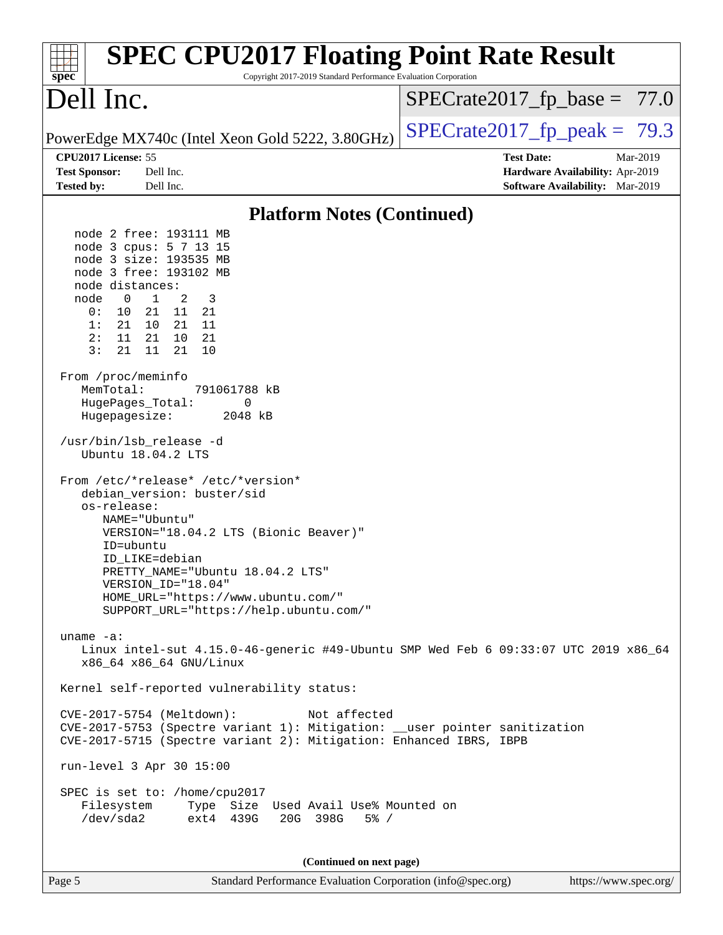| <b>SPEC CPU2017 Floating Point Rate Result</b><br>Copyright 2017-2019 Standard Performance Evaluation Corporation<br>$spec^*$                                                                                                                                                                                                                                                                                                                                                                                                                                                                                                                                                                                                                                                                                                                                                                                                                                                                                                                                                                                                                                                                                                                                                                         |                                                                                                     |
|-------------------------------------------------------------------------------------------------------------------------------------------------------------------------------------------------------------------------------------------------------------------------------------------------------------------------------------------------------------------------------------------------------------------------------------------------------------------------------------------------------------------------------------------------------------------------------------------------------------------------------------------------------------------------------------------------------------------------------------------------------------------------------------------------------------------------------------------------------------------------------------------------------------------------------------------------------------------------------------------------------------------------------------------------------------------------------------------------------------------------------------------------------------------------------------------------------------------------------------------------------------------------------------------------------|-----------------------------------------------------------------------------------------------------|
| Dell Inc.                                                                                                                                                                                                                                                                                                                                                                                                                                                                                                                                                                                                                                                                                                                                                                                                                                                                                                                                                                                                                                                                                                                                                                                                                                                                                             | $SPECrate2017_fp\_base = 77.0$                                                                      |
| PowerEdge MX740c (Intel Xeon Gold 5222, 3.80GHz)                                                                                                                                                                                                                                                                                                                                                                                                                                                                                                                                                                                                                                                                                                                                                                                                                                                                                                                                                                                                                                                                                                                                                                                                                                                      | $SPECrate2017_fp\_peak = 79.3$                                                                      |
| CPU2017 License: 55<br><b>Test Sponsor:</b><br>Dell Inc.<br><b>Tested by:</b><br>Dell Inc.                                                                                                                                                                                                                                                                                                                                                                                                                                                                                                                                                                                                                                                                                                                                                                                                                                                                                                                                                                                                                                                                                                                                                                                                            | <b>Test Date:</b><br>Mar-2019<br>Hardware Availability: Apr-2019<br>Software Availability: Mar-2019 |
| <b>Platform Notes (Continued)</b>                                                                                                                                                                                                                                                                                                                                                                                                                                                                                                                                                                                                                                                                                                                                                                                                                                                                                                                                                                                                                                                                                                                                                                                                                                                                     |                                                                                                     |
| node 2 free: 193111 MB<br>node 3 cpus: 5 7 13 15<br>node 3 size: 193535 MB<br>node 3 free: 193102 MB<br>node distances:<br>$\mathbf{1}$<br>node<br>0<br>2<br>3<br>0:<br>10<br>21 11 21<br>21 10 21 11<br>1:<br>11<br>2:<br>21 10 21<br>3:<br>11 21<br>21<br>10<br>From /proc/meminfo<br>MemTotal:<br>791061788 kB<br>HugePages_Total:<br>0<br>Hugepagesize:<br>2048 kB<br>/usr/bin/lsb release -d<br>Ubuntu 18.04.2 LTS<br>From /etc/*release* /etc/*version*<br>debian_version: buster/sid<br>os-release:<br>NAME="Ubuntu"<br>VERSION="18.04.2 LTS (Bionic Beaver)"<br>ID=ubuntu<br>ID LIKE=debian<br>PRETTY_NAME="Ubuntu 18.04.2 LTS"<br>VERSION_ID="18.04"<br>HOME_URL="https://www.ubuntu.com/"<br>SUPPORT_URL="https://help.ubuntu.com/"<br>uname $-a$ :<br>Linux intel-sut $4.15.0-46$ -generic #49-Ubuntu SMP Wed Feb 6 09:33:07 UTC 2019 x86 64<br>x86_64 x86_64 GNU/Linux<br>Kernel self-reported vulnerability status:<br>CVE-2017-5754 (Meltdown):<br>Not affected<br>CVE-2017-5753 (Spectre variant 1): Mitigation: __user pointer sanitization<br>CVE-2017-5715 (Spectre variant 2): Mitigation: Enhanced IBRS, IBPB<br>run-level 3 Apr 30 15:00<br>SPEC is set to: /home/cpu2017<br>Filesystem<br>Type Size Used Avail Use% Mounted on<br>/dev/sda2<br>ext4 439G<br>20G 398G<br>$5\%$ / |                                                                                                     |
| (Continued on next page)<br>Page 5<br>Standard Performance Evaluation Corporation (info@spec.org)                                                                                                                                                                                                                                                                                                                                                                                                                                                                                                                                                                                                                                                                                                                                                                                                                                                                                                                                                                                                                                                                                                                                                                                                     | https://www.spec.org/                                                                               |
|                                                                                                                                                                                                                                                                                                                                                                                                                                                                                                                                                                                                                                                                                                                                                                                                                                                                                                                                                                                                                                                                                                                                                                                                                                                                                                       |                                                                                                     |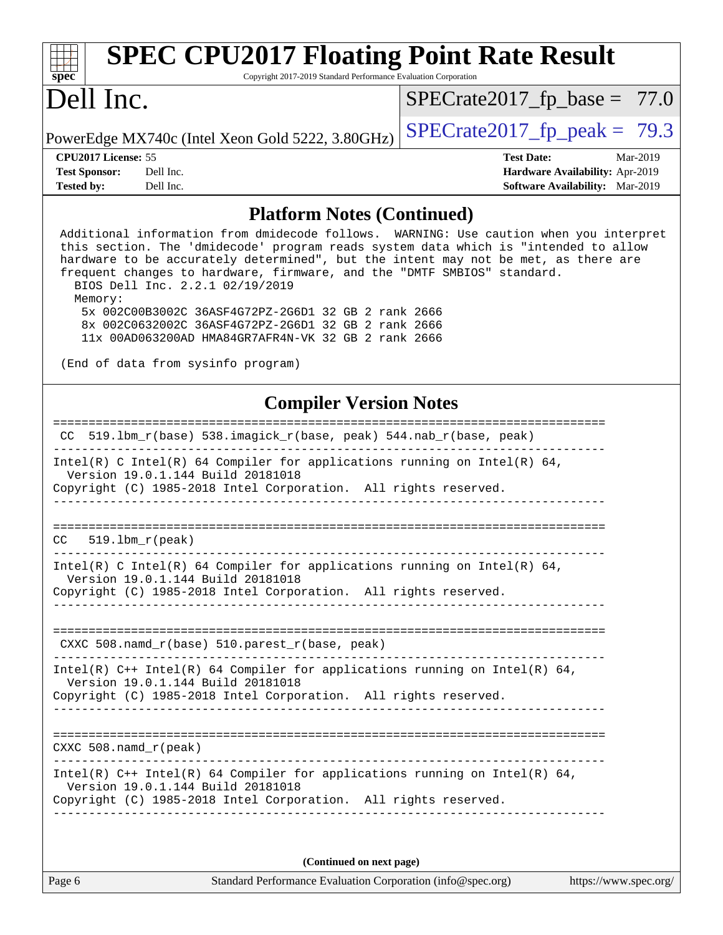| <b>SPEC CPU2017 Floating Point Rate Result</b><br>spec <sup>®</sup>                                                                                                                                                                                                                                                                                                                                                                                                                                                                                                                                     | Copyright 2017-2019 Standard Performance Evaluation Corporation |                                                             |                                                                                       |
|---------------------------------------------------------------------------------------------------------------------------------------------------------------------------------------------------------------------------------------------------------------------------------------------------------------------------------------------------------------------------------------------------------------------------------------------------------------------------------------------------------------------------------------------------------------------------------------------------------|-----------------------------------------------------------------|-------------------------------------------------------------|---------------------------------------------------------------------------------------|
| Dell Inc.                                                                                                                                                                                                                                                                                                                                                                                                                                                                                                                                                                                               |                                                                 | $SPECrate2017_fp\_base = 77.0$                              |                                                                                       |
| PowerEdge MX740c (Intel Xeon Gold 5222, 3.80GHz)                                                                                                                                                                                                                                                                                                                                                                                                                                                                                                                                                        |                                                                 | $SPECrate2017_fp\_peak = 79.3$                              |                                                                                       |
| CPU <sub>2017</sub> License: 55<br><b>Test Sponsor:</b><br>Dell Inc.<br>Dell Inc.<br><b>Tested by:</b>                                                                                                                                                                                                                                                                                                                                                                                                                                                                                                  |                                                                 | <b>Test Date:</b>                                           | Mar-2019<br>Hardware Availability: Apr-2019<br><b>Software Availability:</b> Mar-2019 |
|                                                                                                                                                                                                                                                                                                                                                                                                                                                                                                                                                                                                         | <b>Platform Notes (Continued)</b>                               |                                                             |                                                                                       |
| Additional information from dmidecode follows. WARNING: Use caution when you interpret<br>this section. The 'dmidecode' program reads system data which is "intended to allow<br>hardware to be accurately determined", but the intent may not be met, as there are<br>frequent changes to hardware, firmware, and the "DMTF SMBIOS" standard.<br>BIOS Dell Inc. 2.2.1 02/19/2019<br>Memory:<br>5x 002C00B3002C 36ASF4G72PZ-2G6D1 32 GB 2 rank 2666<br>8x 002C0632002C 36ASF4G72PZ-2G6D1 32 GB 2 rank 2666<br>11x 00AD063200AD HMA84GR7AFR4N-VK 32 GB 2 rank 2666<br>(End of data from sysinfo program) |                                                                 |                                                             |                                                                                       |
|                                                                                                                                                                                                                                                                                                                                                                                                                                                                                                                                                                                                         | <b>Compiler Version Notes</b>                                   |                                                             |                                                                                       |
| 519.1bm_r(base) 538.imagick_r(base, peak) 544.nab_r(base, peak)<br>CC.                                                                                                                                                                                                                                                                                                                                                                                                                                                                                                                                  |                                                                 |                                                             |                                                                                       |
| Intel(R) C Intel(R) 64 Compiler for applications running on Intel(R) 64,<br>Version 19.0.1.144 Build 20181018<br>Copyright (C) 1985-2018 Intel Corporation. All rights reserved.                                                                                                                                                                                                                                                                                                                                                                                                                        |                                                                 |                                                             |                                                                                       |
| $519.1bm_r(peak)$<br>CC                                                                                                                                                                                                                                                                                                                                                                                                                                                                                                                                                                                 |                                                                 | ____________________________                                |                                                                                       |
| Intel(R) C Intel(R) 64 Compiler for applications running on Intel(R) 64,<br>Version 19.0.1.144 Build 20181018<br>Copyright (C) 1985-2018 Intel Corporation. All rights reserved.                                                                                                                                                                                                                                                                                                                                                                                                                        |                                                                 |                                                             |                                                                                       |
| $CXXC 508.namd_r(base) 510.parest_r(base, peak)$<br><u>u dia dia dia dia dia dale dia dia dia 40.</u>                                                                                                                                                                                                                                                                                                                                                                                                                                                                                                   |                                                                 | __________________________________                          |                                                                                       |
| Intel(R) $C++$ Intel(R) 64 Compiler for applications running on Intel(R) 64,<br>Version 19.0.1.144 Build 20181018<br>Copyright (C) 1985-2018 Intel Corporation. All rights reserved.                                                                                                                                                                                                                                                                                                                                                                                                                    |                                                                 |                                                             |                                                                                       |
| $CXXC$ 508. namd $r$ (peak)                                                                                                                                                                                                                                                                                                                                                                                                                                                                                                                                                                             |                                                                 |                                                             |                                                                                       |
| Intel(R) $C++$ Intel(R) 64 Compiler for applications running on Intel(R) 64,<br>Version 19.0.1.144 Build 20181018<br>Copyright (C) 1985-2018 Intel Corporation. All rights reserved.                                                                                                                                                                                                                                                                                                                                                                                                                    |                                                                 |                                                             |                                                                                       |
|                                                                                                                                                                                                                                                                                                                                                                                                                                                                                                                                                                                                         | (Continued on next page)                                        |                                                             |                                                                                       |
| Page 6                                                                                                                                                                                                                                                                                                                                                                                                                                                                                                                                                                                                  |                                                                 | Standard Performance Evaluation Corporation (info@spec.org) | https://www.spec.org/                                                                 |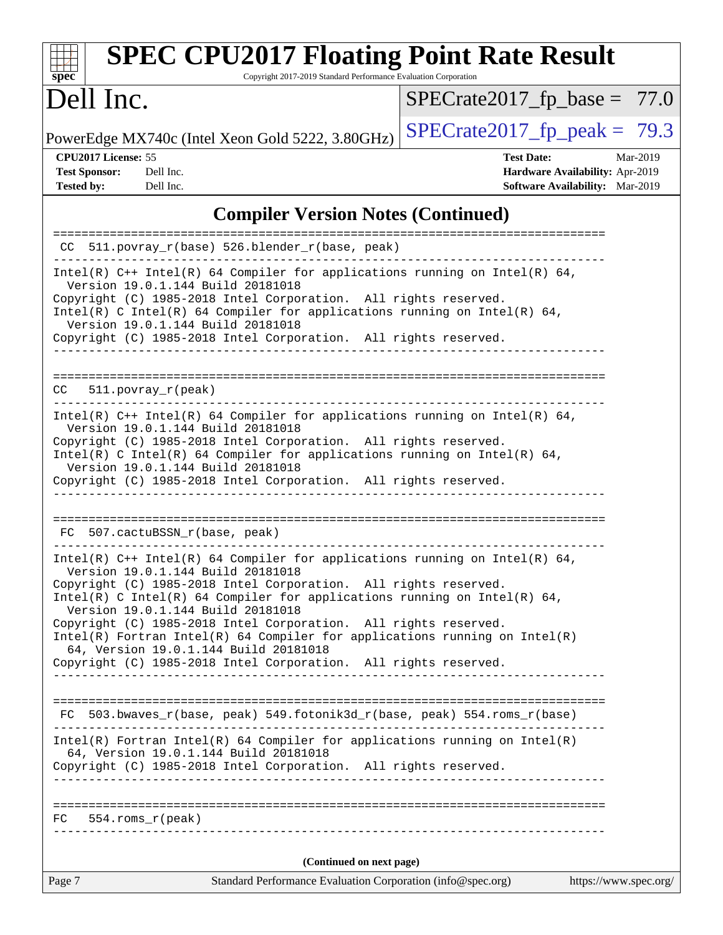| spec <sup>®</sup>                           | <b>SPEC CPU2017 Floating Point Rate Result</b><br>Copyright 2017-2019 Standard Performance Evaluation Corporation                                                                                                                                                                                                                                                                                                                                                                                                                                                    |                                                      |          |
|---------------------------------------------|----------------------------------------------------------------------------------------------------------------------------------------------------------------------------------------------------------------------------------------------------------------------------------------------------------------------------------------------------------------------------------------------------------------------------------------------------------------------------------------------------------------------------------------------------------------------|------------------------------------------------------|----------|
| Dell Inc.                                   |                                                                                                                                                                                                                                                                                                                                                                                                                                                                                                                                                                      | $SPECrate2017_fp\_base = 77.0$                       |          |
|                                             | PowerEdge MX740c (Intel Xeon Gold 5222, 3.80GHz)                                                                                                                                                                                                                                                                                                                                                                                                                                                                                                                     | $SPECrate2017_fp\_peak = 79.3$                       |          |
| CPU2017 License: 55<br><b>Test Sponsor:</b> | Dell Inc.                                                                                                                                                                                                                                                                                                                                                                                                                                                                                                                                                            | <b>Test Date:</b><br>Hardware Availability: Apr-2019 | Mar-2019 |
| <b>Tested by:</b>                           | Dell Inc.                                                                                                                                                                                                                                                                                                                                                                                                                                                                                                                                                            | Software Availability: Mar-2019                      |          |
|                                             | <b>Compiler Version Notes (Continued)</b>                                                                                                                                                                                                                                                                                                                                                                                                                                                                                                                            |                                                      |          |
| CC.                                         | 511.povray_r(base) 526.blender_r(base, peak)                                                                                                                                                                                                                                                                                                                                                                                                                                                                                                                         |                                                      |          |
|                                             | Intel(R) $C++$ Intel(R) 64 Compiler for applications running on Intel(R) 64,<br>Version 19.0.1.144 Build 20181018<br>Copyright (C) 1985-2018 Intel Corporation. All rights reserved.<br>Intel(R) C Intel(R) 64 Compiler for applications running on Intel(R) 64,<br>Version 19.0.1.144 Build 20181018<br>Copyright (C) 1985-2018 Intel Corporation. All rights reserved.                                                                                                                                                                                             |                                                      |          |
| CC.                                         | $511. povray_r (peak)$                                                                                                                                                                                                                                                                                                                                                                                                                                                                                                                                               |                                                      |          |
|                                             | Intel(R) $C++$ Intel(R) 64 Compiler for applications running on Intel(R) 64,<br>Version 19.0.1.144 Build 20181018<br>Copyright (C) 1985-2018 Intel Corporation. All rights reserved.<br>Intel(R) C Intel(R) 64 Compiler for applications running on Intel(R) 64,<br>Version 19.0.1.144 Build 20181018<br>Copyright (C) 1985-2018 Intel Corporation. All rights reserved.                                                                                                                                                                                             |                                                      |          |
| FC.                                         | 507.cactuBSSN_r(base, peak)                                                                                                                                                                                                                                                                                                                                                                                                                                                                                                                                          |                                                      |          |
|                                             | Intel(R) $C++$ Intel(R) 64 Compiler for applications running on Intel(R) 64,<br>Version 19.0.1.144 Build 20181018<br>Copyright (C) 1985-2018 Intel Corporation. All rights reserved.<br>Intel(R) C Intel(R) 64 Compiler for applications running on Intel(R) 64,<br>Version 19.0.1.144 Build 20181018<br>Copyright (C) 1985-2018 Intel Corporation. All rights reserved.<br>$Intel(R)$ Fortran Intel(R) 64 Compiler for applications running on Intel(R)<br>64, Version 19.0.1.144 Build 20181018<br>Copyright (C) 1985-2018 Intel Corporation. All rights reserved. |                                                      |          |
|                                             | FC 503.bwaves_r(base, peak) 549.fotonik3d_r(base, peak) 554.roms_r(base)                                                                                                                                                                                                                                                                                                                                                                                                                                                                                             |                                                      |          |
|                                             | $Intel(R)$ Fortran Intel(R) 64 Compiler for applications running on Intel(R)<br>64, Version 19.0.1.144 Build 20181018<br>Copyright (C) 1985-2018 Intel Corporation. All rights reserved.                                                                                                                                                                                                                                                                                                                                                                             |                                                      |          |
|                                             | $FC$ 554.roms $r$ (peak)                                                                                                                                                                                                                                                                                                                                                                                                                                                                                                                                             |                                                      |          |
|                                             | (Continued on next page)                                                                                                                                                                                                                                                                                                                                                                                                                                                                                                                                             |                                                      |          |
| Page 7                                      | Standard Performance Evaluation Corporation (info@spec.org)                                                                                                                                                                                                                                                                                                                                                                                                                                                                                                          | https://www.spec.org/                                |          |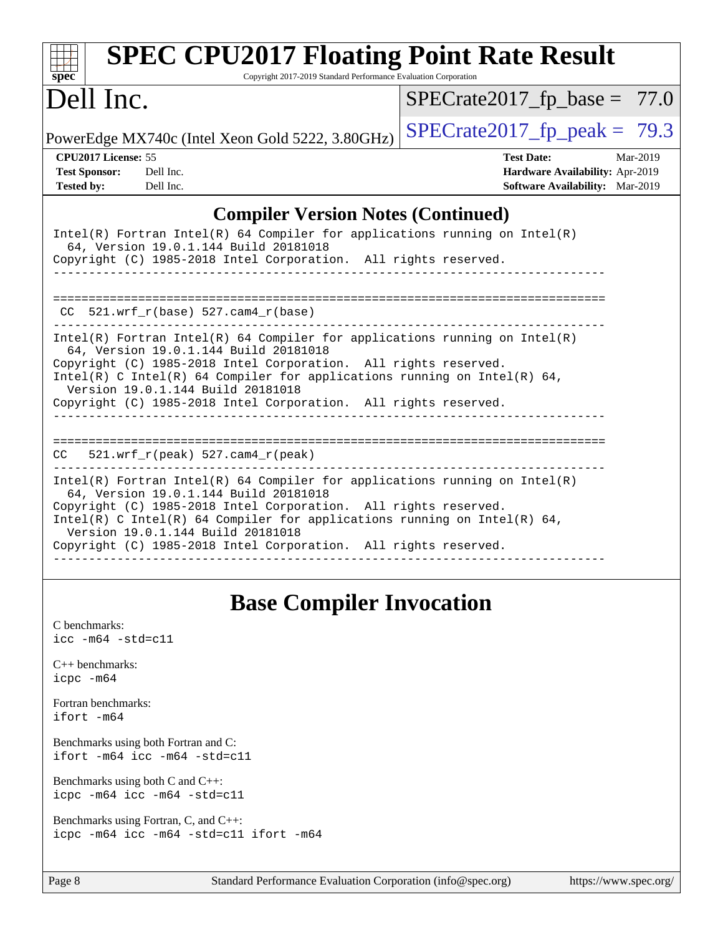| <b>SPEC CPU2017 Floating Point Rate Result</b><br>Copyright 2017-2019 Standard Performance Evaluation Corporation<br>$spec^*$                                                                                                                                                                                                                                                |                                                                                                              |
|------------------------------------------------------------------------------------------------------------------------------------------------------------------------------------------------------------------------------------------------------------------------------------------------------------------------------------------------------------------------------|--------------------------------------------------------------------------------------------------------------|
| Dell Inc.                                                                                                                                                                                                                                                                                                                                                                    | $SPECrate2017_fp\_base = 77.0$                                                                               |
| PowerEdge MX740c (Intel Xeon Gold 5222, 3.80GHz)                                                                                                                                                                                                                                                                                                                             | $SPECTate2017$ fp peak = 79.3                                                                                |
| CPU <sub>2017</sub> License: 55<br><b>Test Sponsor:</b><br>Dell Inc.<br>Dell Inc.<br><b>Tested by:</b>                                                                                                                                                                                                                                                                       | <b>Test Date:</b><br>$Mar-2019$<br>Hardware Availability: Apr-2019<br><b>Software Availability:</b> Mar-2019 |
| <b>Compiler Version Notes (Continued)</b>                                                                                                                                                                                                                                                                                                                                    |                                                                                                              |
| $Intel(R)$ Fortran Intel(R) 64 Compiler for applications running on Intel(R)<br>64, Version 19.0.1.144 Build 20181018<br>Copyright (C) 1985-2018 Intel Corporation. All rights reserved.                                                                                                                                                                                     |                                                                                                              |
| $CC$ 521.wrf_ $r(base)$ 527.cam4_ $r(base)$                                                                                                                                                                                                                                                                                                                                  |                                                                                                              |
| Intel(R) Fortran Intel(R) 64 Compiler for applications running on Intel(R)<br>64, Version 19.0.1.144 Build 20181018<br>Copyright (C) 1985-2018 Intel Corporation. All rights reserved.<br>Intel(R) C Intel(R) 64 Compiler for applications running on Intel(R) 64,<br>Version 19.0.1.144 Build 20181018<br>Copyright (C) 1985-2018 Intel Corporation. All rights reserved.   |                                                                                                              |
| $521.wrf_r(peak) 527.cam4_r(peak)$<br>CC.                                                                                                                                                                                                                                                                                                                                    |                                                                                                              |
| $Intel(R)$ Fortran Intel(R) 64 Compiler for applications running on Intel(R)<br>64, Version 19.0.1.144 Build 20181018<br>Copyright (C) 1985-2018 Intel Corporation. All rights reserved.<br>Intel(R) C Intel(R) 64 Compiler for applications running on Intel(R) 64,<br>Version 19.0.1.144 Build 20181018<br>Copyright (C) 1985-2018 Intel Corporation. All rights reserved. |                                                                                                              |

# **[Base Compiler Invocation](http://www.spec.org/auto/cpu2017/Docs/result-fields.html#BaseCompilerInvocation)**

| C benchmarks:<br>icc -m64 -std=c11                                              |
|---------------------------------------------------------------------------------|
| $C_{++}$ benchmarks:<br>icpc -m64                                               |
| Fortran benchmarks:<br>ifort –m64                                               |
| Benchmarks using both Fortran and C:<br>ifort -m64 icc -m64 -std=c11            |
| Benchmarks using both $C$ and $C_{++}$ :<br>icpc -m64 icc -m64 -std=c11         |
| Benchmarks using Fortran, C, and C++:<br>icpc -m64 icc -m64 -std=c11 ifort -m64 |
|                                                                                 |

Page 8 Standard Performance Evaluation Corporation [\(info@spec.org\)](mailto:info@spec.org) <https://www.spec.org/>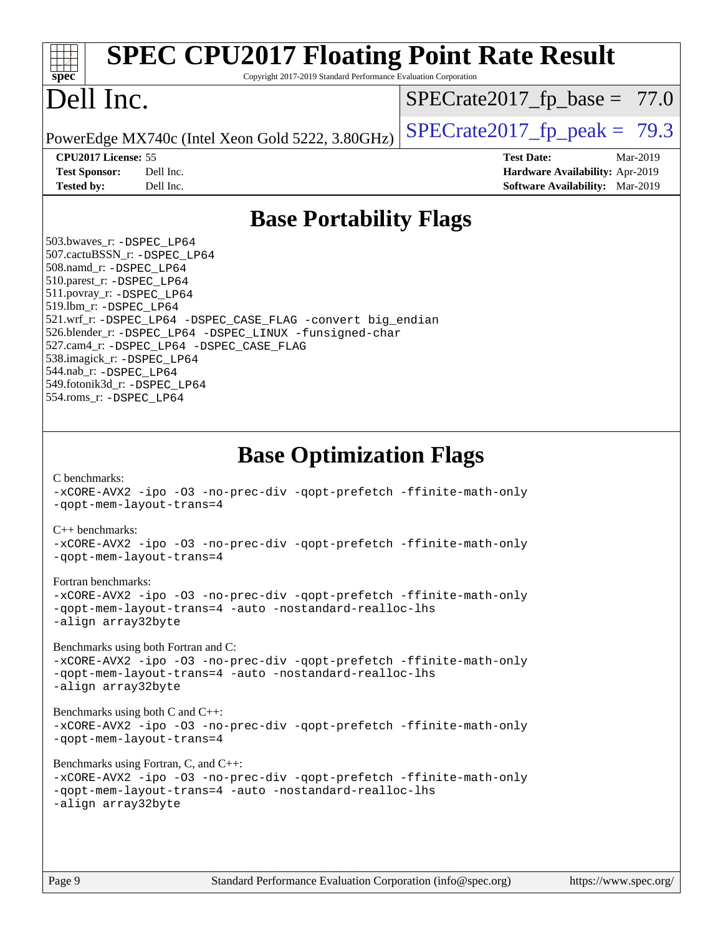| <b>SPEC CPU2017 Floating Point Rate Result</b><br>Copyright 2017-2019 Standard Performance Evaluation Corporation<br>$spec^*$                                                                                                                                                                                                                                                                                                                                                                                                                                                                                                                                                                                                                                                                                                                                                                                                                                                                     |                                                                                                            |
|---------------------------------------------------------------------------------------------------------------------------------------------------------------------------------------------------------------------------------------------------------------------------------------------------------------------------------------------------------------------------------------------------------------------------------------------------------------------------------------------------------------------------------------------------------------------------------------------------------------------------------------------------------------------------------------------------------------------------------------------------------------------------------------------------------------------------------------------------------------------------------------------------------------------------------------------------------------------------------------------------|------------------------------------------------------------------------------------------------------------|
| Dell Inc.                                                                                                                                                                                                                                                                                                                                                                                                                                                                                                                                                                                                                                                                                                                                                                                                                                                                                                                                                                                         | $SPECrate2017_fp\_base = 77.0$                                                                             |
| PowerEdge MX740c (Intel Xeon Gold 5222, 3.80GHz)                                                                                                                                                                                                                                                                                                                                                                                                                                                                                                                                                                                                                                                                                                                                                                                                                                                                                                                                                  | $SPECrate2017_fp\_peak = 79.3$                                                                             |
| CPU2017 License: 55<br><b>Test Sponsor:</b><br>Dell Inc.<br>Dell Inc.<br><b>Tested by:</b>                                                                                                                                                                                                                                                                                                                                                                                                                                                                                                                                                                                                                                                                                                                                                                                                                                                                                                        | <b>Test Date:</b><br>Mar-2019<br>Hardware Availability: Apr-2019<br><b>Software Availability:</b> Mar-2019 |
| <b>Base Portability Flags</b>                                                                                                                                                                                                                                                                                                                                                                                                                                                                                                                                                                                                                                                                                                                                                                                                                                                                                                                                                                     |                                                                                                            |
| 503.bwaves_r: -DSPEC_LP64<br>507.cactuBSSN_r: -DSPEC_LP64<br>508.namd_r: -DSPEC_LP64<br>510.parest_r: -DSPEC_LP64<br>511.povray_r: -DSPEC_LP64<br>519.lbm_r: -DSPEC_LP64<br>521.wrf_r: -DSPEC_LP64 -DSPEC_CASE_FLAG -convert big_endian<br>526.blender_r: -DSPEC_LP64 -DSPEC_LINUX -funsigned-char<br>527.cam4_r: -DSPEC_LP64 -DSPEC_CASE_FLAG<br>538.imagick_r: -DSPEC_LP64<br>544.nab r: -DSPEC LP64<br>549.fotonik3d_r: -DSPEC LP64<br>554.roms_r: -DSPEC_LP64                                                                                                                                                                                                                                                                                                                                                                                                                                                                                                                                 |                                                                                                            |
| <b>Base Optimization Flags</b><br>C benchmarks:<br>-xCORE-AVX2 -ipo -03 -no-prec-div -qopt-prefetch -ffinite-math-only<br>-gopt-mem-layout-trans=4<br>$C_{++}$ benchmarks:<br>-xCORE-AVX2 -ipo -03 -no-prec-div -qopt-prefetch -ffinite-math-only<br>-gopt-mem-layout-trans=4<br>Fortran benchmarks:<br>-xCORE-AVX2 -ipo -03 -no-prec-div -qopt-prefetch -ffinite-math-only<br>-qopt-mem-layout-trans=4 -auto -nostandard-realloc-lhs<br>-align array32byte<br>Benchmarks using both Fortran and C:<br>-xCORE-AVX2 -ipo -03 -no-prec-div -qopt-prefetch -ffinite-math-only<br>-qopt-mem-layout-trans=4 -auto -nostandard-realloc-lhs<br>-align array32byte<br>Benchmarks using both C and C++:<br>-xCORE-AVX2 -ipo -03 -no-prec-div -qopt-prefetch -ffinite-math-only<br>-gopt-mem-layout-trans=4<br>Benchmarks using Fortran, C, and C++:<br>-xCORE-AVX2 -ipo -03 -no-prec-div -qopt-prefetch -ffinite-math-only<br>-qopt-mem-layout-trans=4 -auto -nostandard-realloc-lhs<br>-align array32byte |                                                                                                            |
| Standard Performance Evaluation Corporation (info@spec.org)<br>Page 9                                                                                                                                                                                                                                                                                                                                                                                                                                                                                                                                                                                                                                                                                                                                                                                                                                                                                                                             | https://www.spec.org/                                                                                      |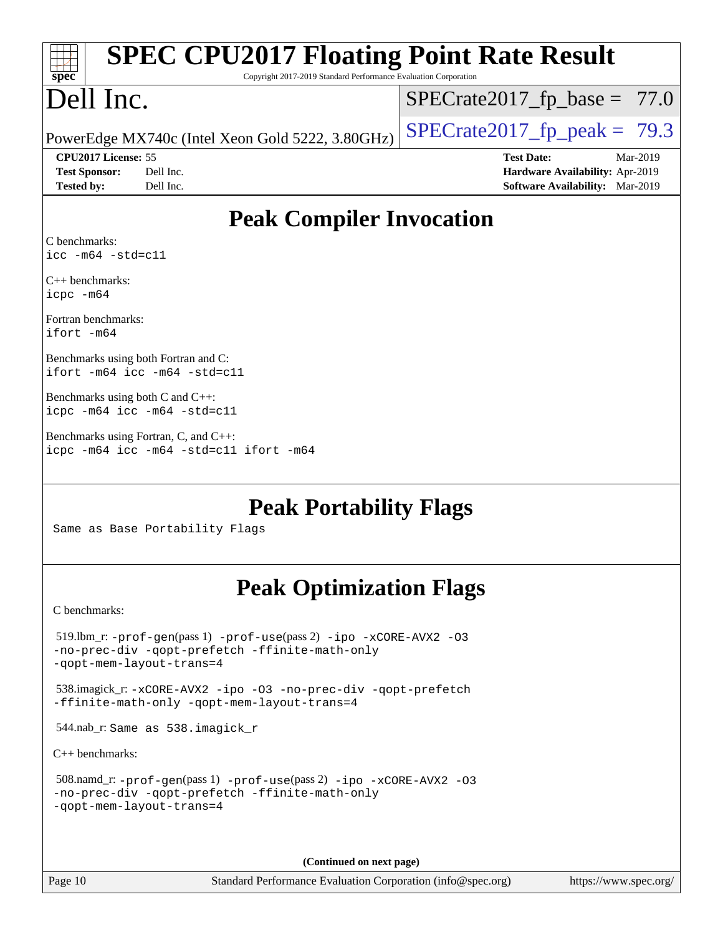| <b>SPEC CPU2017 Floating Point Rate Result</b><br>Copyright 2017-2019 Standard Performance Evaluation Corporation<br>$spec^*$                        |                                                                                                            |
|------------------------------------------------------------------------------------------------------------------------------------------------------|------------------------------------------------------------------------------------------------------------|
| Dell Inc.                                                                                                                                            | $SPECrate2017_fp\_base = 77.0$                                                                             |
| PowerEdge MX740c (Intel Xeon Gold 5222, 3.80GHz)                                                                                                     | $SPECrate2017_fp\_peak = 79.3$                                                                             |
| CPU2017 License: 55<br>Dell Inc.<br><b>Test Sponsor:</b><br><b>Tested by:</b><br>Dell Inc.                                                           | <b>Test Date:</b><br>Mar-2019<br>Hardware Availability: Apr-2019<br><b>Software Availability:</b> Mar-2019 |
| <b>Peak Compiler Invocation</b>                                                                                                                      |                                                                                                            |
| C benchmarks:<br>$\text{icc -m64 -std=c11}$                                                                                                          |                                                                                                            |
| $C_{++}$ benchmarks:<br>icpc -m64                                                                                                                    |                                                                                                            |
| Fortran benchmarks:<br>ifort -m64                                                                                                                    |                                                                                                            |
| Benchmarks using both Fortran and C:<br>ifort -m64 icc -m64 -std=c11                                                                                 |                                                                                                            |
| Benchmarks using both $C$ and $C++$ :<br>icpc -m64 icc -m64 -std=c11                                                                                 |                                                                                                            |
| Benchmarks using Fortran, C, and C++:<br>icpc -m64 icc -m64 -std=c11 ifort -m64                                                                      |                                                                                                            |
| <b>Peak Portability Flags</b><br>Same as Base Portability Flags                                                                                      |                                                                                                            |
| <b>Peak Optimization Flags</b>                                                                                                                       |                                                                                                            |
| C benchmarks:                                                                                                                                        |                                                                                                            |
| $519$ .lbm_r: -prof-gen(pass 1) -prof-use(pass 2) -ipo -xCORE-AVX2 -03<br>-no-prec-div -qopt-prefetch -ffinite-math-only<br>-qopt-mem-layout-trans=4 |                                                                                                            |
| 538.imagick_r: -xCORE-AVX2 -ipo -03 -no-prec-div -qopt-prefetch<br>-ffinite-math-only -gopt-mem-layout-trans=4                                       |                                                                                                            |
| 544.nab_r: Same as 538.imagick_r                                                                                                                     |                                                                                                            |
| $C_{++}$ benchmarks:                                                                                                                                 |                                                                                                            |
| 508.namd_r: -prof-gen(pass 1) -prof-use(pass 2) -ipo -xCORE-AVX2 -03<br>-no-prec-div -qopt-prefetch -ffinite-math-only<br>-gopt-mem-layout-trans=4   |                                                                                                            |

**(Continued on next page)**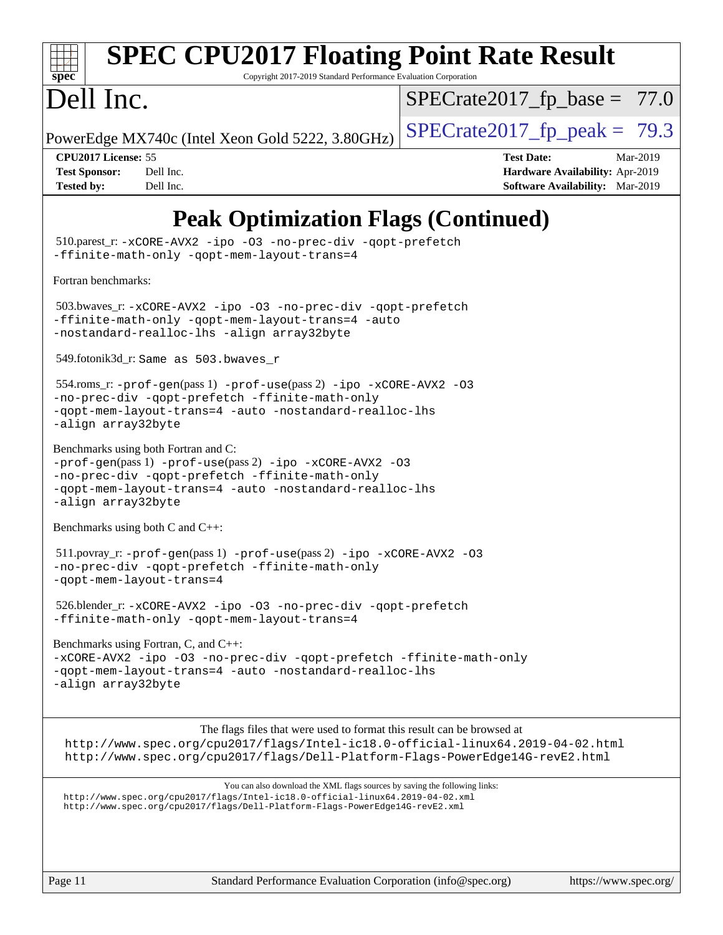

# **[SPEC CPU2017 Floating Point Rate Result](http://www.spec.org/auto/cpu2017/Docs/result-fields.html#SPECCPU2017FloatingPointRateResult)**

Copyright 2017-2019 Standard Performance Evaluation Corporation

# Dell Inc.

 $SPECTate2017_fp\_base = 77.0$ 

PowerEdge MX740c (Intel Xeon Gold 5222, 3.80GHz)  $\left|$  [SPECrate2017\\_fp\\_peak =](http://www.spec.org/auto/cpu2017/Docs/result-fields.html#SPECrate2017fppeak) 79.3

**[CPU2017 License:](http://www.spec.org/auto/cpu2017/Docs/result-fields.html#CPU2017License)** 55 **[Test Date:](http://www.spec.org/auto/cpu2017/Docs/result-fields.html#TestDate)** Mar-2019 **[Test Sponsor:](http://www.spec.org/auto/cpu2017/Docs/result-fields.html#TestSponsor)** Dell Inc. **[Hardware Availability:](http://www.spec.org/auto/cpu2017/Docs/result-fields.html#HardwareAvailability)** Apr-2019 **[Tested by:](http://www.spec.org/auto/cpu2017/Docs/result-fields.html#Testedby)** Dell Inc. **[Software Availability:](http://www.spec.org/auto/cpu2017/Docs/result-fields.html#SoftwareAvailability)** Mar-2019

## **[Peak Optimization Flags \(Continued\)](http://www.spec.org/auto/cpu2017/Docs/result-fields.html#PeakOptimizationFlags)**

 510.parest\_r: [-xCORE-AVX2](http://www.spec.org/cpu2017/results/res2019q3/cpu2017-20190624-15404.flags.html#user_peakCXXOPTIMIZE510_parest_r_f-xCORE-AVX2) [-ipo](http://www.spec.org/cpu2017/results/res2019q3/cpu2017-20190624-15404.flags.html#user_peakCXXOPTIMIZE510_parest_r_f-ipo) [-O3](http://www.spec.org/cpu2017/results/res2019q3/cpu2017-20190624-15404.flags.html#user_peakCXXOPTIMIZE510_parest_r_f-O3) [-no-prec-div](http://www.spec.org/cpu2017/results/res2019q3/cpu2017-20190624-15404.flags.html#user_peakCXXOPTIMIZE510_parest_r_f-no-prec-div) [-qopt-prefetch](http://www.spec.org/cpu2017/results/res2019q3/cpu2017-20190624-15404.flags.html#user_peakCXXOPTIMIZE510_parest_r_f-qopt-prefetch) [-ffinite-math-only](http://www.spec.org/cpu2017/results/res2019q3/cpu2017-20190624-15404.flags.html#user_peakCXXOPTIMIZE510_parest_r_f_finite_math_only_cb91587bd2077682c4b38af759c288ed7c732db004271a9512da14a4f8007909a5f1427ecbf1a0fb78ff2a814402c6114ac565ca162485bbcae155b5e4258871) [-qopt-mem-layout-trans=4](http://www.spec.org/cpu2017/results/res2019q3/cpu2017-20190624-15404.flags.html#user_peakCXXOPTIMIZE510_parest_r_f-qopt-mem-layout-trans_fa39e755916c150a61361b7846f310bcdf6f04e385ef281cadf3647acec3f0ae266d1a1d22d972a7087a248fd4e6ca390a3634700869573d231a252c784941a8) [Fortran benchmarks](http://www.spec.org/auto/cpu2017/Docs/result-fields.html#Fortranbenchmarks): 503.bwaves\_r: [-xCORE-AVX2](http://www.spec.org/cpu2017/results/res2019q3/cpu2017-20190624-15404.flags.html#user_peakFOPTIMIZE503_bwaves_r_f-xCORE-AVX2) [-ipo](http://www.spec.org/cpu2017/results/res2019q3/cpu2017-20190624-15404.flags.html#user_peakFOPTIMIZE503_bwaves_r_f-ipo) [-O3](http://www.spec.org/cpu2017/results/res2019q3/cpu2017-20190624-15404.flags.html#user_peakFOPTIMIZE503_bwaves_r_f-O3) [-no-prec-div](http://www.spec.org/cpu2017/results/res2019q3/cpu2017-20190624-15404.flags.html#user_peakFOPTIMIZE503_bwaves_r_f-no-prec-div) [-qopt-prefetch](http://www.spec.org/cpu2017/results/res2019q3/cpu2017-20190624-15404.flags.html#user_peakFOPTIMIZE503_bwaves_r_f-qopt-prefetch) [-ffinite-math-only](http://www.spec.org/cpu2017/results/res2019q3/cpu2017-20190624-15404.flags.html#user_peakFOPTIMIZE503_bwaves_r_f_finite_math_only_cb91587bd2077682c4b38af759c288ed7c732db004271a9512da14a4f8007909a5f1427ecbf1a0fb78ff2a814402c6114ac565ca162485bbcae155b5e4258871) [-qopt-mem-layout-trans=4](http://www.spec.org/cpu2017/results/res2019q3/cpu2017-20190624-15404.flags.html#user_peakFOPTIMIZE503_bwaves_r_f-qopt-mem-layout-trans_fa39e755916c150a61361b7846f310bcdf6f04e385ef281cadf3647acec3f0ae266d1a1d22d972a7087a248fd4e6ca390a3634700869573d231a252c784941a8) [-auto](http://www.spec.org/cpu2017/results/res2019q3/cpu2017-20190624-15404.flags.html#user_peakFOPTIMIZE503_bwaves_r_f-auto) [-nostandard-realloc-lhs](http://www.spec.org/cpu2017/results/res2019q3/cpu2017-20190624-15404.flags.html#user_peakEXTRA_FOPTIMIZE503_bwaves_r_f_2003_std_realloc_82b4557e90729c0f113870c07e44d33d6f5a304b4f63d4c15d2d0f1fab99f5daaed73bdb9275d9ae411527f28b936061aa8b9c8f2d63842963b95c9dd6426b8a) [-align array32byte](http://www.spec.org/cpu2017/results/res2019q3/cpu2017-20190624-15404.flags.html#user_peakEXTRA_FOPTIMIZE503_bwaves_r_align_array32byte_b982fe038af199962ba9a80c053b8342c548c85b40b8e86eb3cc33dee0d7986a4af373ac2d51c3f7cf710a18d62fdce2948f201cd044323541f22fc0fffc51b6) 549.fotonik3d\_r: Same as 503.bwaves\_r 554.roms\_r: [-prof-gen](http://www.spec.org/cpu2017/results/res2019q3/cpu2017-20190624-15404.flags.html#user_peakPASS1_FFLAGSPASS1_LDFLAGS554_roms_r_prof_gen_5aa4926d6013ddb2a31985c654b3eb18169fc0c6952a63635c234f711e6e63dd76e94ad52365559451ec499a2cdb89e4dc58ba4c67ef54ca681ffbe1461d6b36)(pass 1) [-prof-use](http://www.spec.org/cpu2017/results/res2019q3/cpu2017-20190624-15404.flags.html#user_peakPASS2_FFLAGSPASS2_LDFLAGS554_roms_r_prof_use_1a21ceae95f36a2b53c25747139a6c16ca95bd9def2a207b4f0849963b97e94f5260e30a0c64f4bb623698870e679ca08317ef8150905d41bd88c6f78df73f19)(pass 2) [-ipo](http://www.spec.org/cpu2017/results/res2019q3/cpu2017-20190624-15404.flags.html#user_peakPASS1_FOPTIMIZEPASS2_FOPTIMIZE554_roms_r_f-ipo) [-xCORE-AVX2](http://www.spec.org/cpu2017/results/res2019q3/cpu2017-20190624-15404.flags.html#user_peakPASS2_FOPTIMIZE554_roms_r_f-xCORE-AVX2) [-O3](http://www.spec.org/cpu2017/results/res2019q3/cpu2017-20190624-15404.flags.html#user_peakPASS1_FOPTIMIZEPASS2_FOPTIMIZE554_roms_r_f-O3) [-no-prec-div](http://www.spec.org/cpu2017/results/res2019q3/cpu2017-20190624-15404.flags.html#user_peakPASS1_FOPTIMIZEPASS2_FOPTIMIZE554_roms_r_f-no-prec-div) [-qopt-prefetch](http://www.spec.org/cpu2017/results/res2019q3/cpu2017-20190624-15404.flags.html#user_peakPASS1_FOPTIMIZEPASS2_FOPTIMIZE554_roms_r_f-qopt-prefetch) [-ffinite-math-only](http://www.spec.org/cpu2017/results/res2019q3/cpu2017-20190624-15404.flags.html#user_peakPASS1_FOPTIMIZEPASS2_FOPTIMIZE554_roms_r_f_finite_math_only_cb91587bd2077682c4b38af759c288ed7c732db004271a9512da14a4f8007909a5f1427ecbf1a0fb78ff2a814402c6114ac565ca162485bbcae155b5e4258871) [-qopt-mem-layout-trans=4](http://www.spec.org/cpu2017/results/res2019q3/cpu2017-20190624-15404.flags.html#user_peakPASS1_FOPTIMIZEPASS2_FOPTIMIZE554_roms_r_f-qopt-mem-layout-trans_fa39e755916c150a61361b7846f310bcdf6f04e385ef281cadf3647acec3f0ae266d1a1d22d972a7087a248fd4e6ca390a3634700869573d231a252c784941a8) [-auto](http://www.spec.org/cpu2017/results/res2019q3/cpu2017-20190624-15404.flags.html#user_peakPASS2_FOPTIMIZE554_roms_r_f-auto) [-nostandard-realloc-lhs](http://www.spec.org/cpu2017/results/res2019q3/cpu2017-20190624-15404.flags.html#user_peakEXTRA_FOPTIMIZE554_roms_r_f_2003_std_realloc_82b4557e90729c0f113870c07e44d33d6f5a304b4f63d4c15d2d0f1fab99f5daaed73bdb9275d9ae411527f28b936061aa8b9c8f2d63842963b95c9dd6426b8a) [-align array32byte](http://www.spec.org/cpu2017/results/res2019q3/cpu2017-20190624-15404.flags.html#user_peakEXTRA_FOPTIMIZE554_roms_r_align_array32byte_b982fe038af199962ba9a80c053b8342c548c85b40b8e86eb3cc33dee0d7986a4af373ac2d51c3f7cf710a18d62fdce2948f201cd044323541f22fc0fffc51b6) [Benchmarks using both Fortran and C](http://www.spec.org/auto/cpu2017/Docs/result-fields.html#BenchmarksusingbothFortranandC): [-prof-gen](http://www.spec.org/cpu2017/results/res2019q3/cpu2017-20190624-15404.flags.html#user_CC_FCpeak_prof_gen_5aa4926d6013ddb2a31985c654b3eb18169fc0c6952a63635c234f711e6e63dd76e94ad52365559451ec499a2cdb89e4dc58ba4c67ef54ca681ffbe1461d6b36)(pass 1) [-prof-use](http://www.spec.org/cpu2017/results/res2019q3/cpu2017-20190624-15404.flags.html#user_CC_FCpeak_prof_use_1a21ceae95f36a2b53c25747139a6c16ca95bd9def2a207b4f0849963b97e94f5260e30a0c64f4bb623698870e679ca08317ef8150905d41bd88c6f78df73f19)(pass 2) [-ipo](http://www.spec.org/cpu2017/results/res2019q3/cpu2017-20190624-15404.flags.html#user_CC_FCpeak_f-ipo) [-xCORE-AVX2](http://www.spec.org/cpu2017/results/res2019q3/cpu2017-20190624-15404.flags.html#user_CC_FCpeak_f-xCORE-AVX2) [-O3](http://www.spec.org/cpu2017/results/res2019q3/cpu2017-20190624-15404.flags.html#user_CC_FCpeak_f-O3) [-no-prec-div](http://www.spec.org/cpu2017/results/res2019q3/cpu2017-20190624-15404.flags.html#user_CC_FCpeak_f-no-prec-div) [-qopt-prefetch](http://www.spec.org/cpu2017/results/res2019q3/cpu2017-20190624-15404.flags.html#user_CC_FCpeak_f-qopt-prefetch) [-ffinite-math-only](http://www.spec.org/cpu2017/results/res2019q3/cpu2017-20190624-15404.flags.html#user_CC_FCpeak_f_finite_math_only_cb91587bd2077682c4b38af759c288ed7c732db004271a9512da14a4f8007909a5f1427ecbf1a0fb78ff2a814402c6114ac565ca162485bbcae155b5e4258871) [-qopt-mem-layout-trans=4](http://www.spec.org/cpu2017/results/res2019q3/cpu2017-20190624-15404.flags.html#user_CC_FCpeak_f-qopt-mem-layout-trans_fa39e755916c150a61361b7846f310bcdf6f04e385ef281cadf3647acec3f0ae266d1a1d22d972a7087a248fd4e6ca390a3634700869573d231a252c784941a8) [-auto](http://www.spec.org/cpu2017/results/res2019q3/cpu2017-20190624-15404.flags.html#user_CC_FCpeak_f-auto) [-nostandard-realloc-lhs](http://www.spec.org/cpu2017/results/res2019q3/cpu2017-20190624-15404.flags.html#user_CC_FCpeak_f_2003_std_realloc_82b4557e90729c0f113870c07e44d33d6f5a304b4f63d4c15d2d0f1fab99f5daaed73bdb9275d9ae411527f28b936061aa8b9c8f2d63842963b95c9dd6426b8a) [-align array32byte](http://www.spec.org/cpu2017/results/res2019q3/cpu2017-20190624-15404.flags.html#user_CC_FCpeak_align_array32byte_b982fe038af199962ba9a80c053b8342c548c85b40b8e86eb3cc33dee0d7986a4af373ac2d51c3f7cf710a18d62fdce2948f201cd044323541f22fc0fffc51b6) [Benchmarks using both C and C++](http://www.spec.org/auto/cpu2017/Docs/result-fields.html#BenchmarksusingbothCandCXX): 511.povray\_r: [-prof-gen](http://www.spec.org/cpu2017/results/res2019q3/cpu2017-20190624-15404.flags.html#user_peakPASS1_CFLAGSPASS1_CXXFLAGSPASS1_LDFLAGS511_povray_r_prof_gen_5aa4926d6013ddb2a31985c654b3eb18169fc0c6952a63635c234f711e6e63dd76e94ad52365559451ec499a2cdb89e4dc58ba4c67ef54ca681ffbe1461d6b36)(pass 1) [-prof-use](http://www.spec.org/cpu2017/results/res2019q3/cpu2017-20190624-15404.flags.html#user_peakPASS2_CFLAGSPASS2_CXXFLAGSPASS2_LDFLAGS511_povray_r_prof_use_1a21ceae95f36a2b53c25747139a6c16ca95bd9def2a207b4f0849963b97e94f5260e30a0c64f4bb623698870e679ca08317ef8150905d41bd88c6f78df73f19)(pass 2) [-ipo](http://www.spec.org/cpu2017/results/res2019q3/cpu2017-20190624-15404.flags.html#user_peakPASS1_COPTIMIZEPASS1_CXXOPTIMIZEPASS2_COPTIMIZEPASS2_CXXOPTIMIZE511_povray_r_f-ipo) [-xCORE-AVX2](http://www.spec.org/cpu2017/results/res2019q3/cpu2017-20190624-15404.flags.html#user_peakPASS2_COPTIMIZEPASS2_CXXOPTIMIZE511_povray_r_f-xCORE-AVX2) [-O3](http://www.spec.org/cpu2017/results/res2019q3/cpu2017-20190624-15404.flags.html#user_peakPASS1_COPTIMIZEPASS1_CXXOPTIMIZEPASS2_COPTIMIZEPASS2_CXXOPTIMIZE511_povray_r_f-O3) [-no-prec-div](http://www.spec.org/cpu2017/results/res2019q3/cpu2017-20190624-15404.flags.html#user_peakPASS1_COPTIMIZEPASS1_CXXOPTIMIZEPASS2_COPTIMIZEPASS2_CXXOPTIMIZE511_povray_r_f-no-prec-div) [-qopt-prefetch](http://www.spec.org/cpu2017/results/res2019q3/cpu2017-20190624-15404.flags.html#user_peakPASS1_COPTIMIZEPASS1_CXXOPTIMIZEPASS2_COPTIMIZEPASS2_CXXOPTIMIZE511_povray_r_f-qopt-prefetch) [-ffinite-math-only](http://www.spec.org/cpu2017/results/res2019q3/cpu2017-20190624-15404.flags.html#user_peakPASS1_COPTIMIZEPASS1_CXXOPTIMIZEPASS2_COPTIMIZEPASS2_CXXOPTIMIZE511_povray_r_f_finite_math_only_cb91587bd2077682c4b38af759c288ed7c732db004271a9512da14a4f8007909a5f1427ecbf1a0fb78ff2a814402c6114ac565ca162485bbcae155b5e4258871) [-qopt-mem-layout-trans=4](http://www.spec.org/cpu2017/results/res2019q3/cpu2017-20190624-15404.flags.html#user_peakPASS1_COPTIMIZEPASS1_CXXOPTIMIZEPASS2_COPTIMIZEPASS2_CXXOPTIMIZE511_povray_r_f-qopt-mem-layout-trans_fa39e755916c150a61361b7846f310bcdf6f04e385ef281cadf3647acec3f0ae266d1a1d22d972a7087a248fd4e6ca390a3634700869573d231a252c784941a8) 526.blender\_r: [-xCORE-AVX2](http://www.spec.org/cpu2017/results/res2019q3/cpu2017-20190624-15404.flags.html#user_peakCOPTIMIZECXXOPTIMIZE526_blender_r_f-xCORE-AVX2) [-ipo](http://www.spec.org/cpu2017/results/res2019q3/cpu2017-20190624-15404.flags.html#user_peakCOPTIMIZECXXOPTIMIZE526_blender_r_f-ipo) [-O3](http://www.spec.org/cpu2017/results/res2019q3/cpu2017-20190624-15404.flags.html#user_peakCOPTIMIZECXXOPTIMIZE526_blender_r_f-O3) [-no-prec-div](http://www.spec.org/cpu2017/results/res2019q3/cpu2017-20190624-15404.flags.html#user_peakCOPTIMIZECXXOPTIMIZE526_blender_r_f-no-prec-div) [-qopt-prefetch](http://www.spec.org/cpu2017/results/res2019q3/cpu2017-20190624-15404.flags.html#user_peakCOPTIMIZECXXOPTIMIZE526_blender_r_f-qopt-prefetch) [-ffinite-math-only](http://www.spec.org/cpu2017/results/res2019q3/cpu2017-20190624-15404.flags.html#user_peakCOPTIMIZECXXOPTIMIZE526_blender_r_f_finite_math_only_cb91587bd2077682c4b38af759c288ed7c732db004271a9512da14a4f8007909a5f1427ecbf1a0fb78ff2a814402c6114ac565ca162485bbcae155b5e4258871) [-qopt-mem-layout-trans=4](http://www.spec.org/cpu2017/results/res2019q3/cpu2017-20190624-15404.flags.html#user_peakCOPTIMIZECXXOPTIMIZE526_blender_r_f-qopt-mem-layout-trans_fa39e755916c150a61361b7846f310bcdf6f04e385ef281cadf3647acec3f0ae266d1a1d22d972a7087a248fd4e6ca390a3634700869573d231a252c784941a8) [Benchmarks using Fortran, C, and C++:](http://www.spec.org/auto/cpu2017/Docs/result-fields.html#BenchmarksusingFortranCandCXX) [-xCORE-AVX2](http://www.spec.org/cpu2017/results/res2019q3/cpu2017-20190624-15404.flags.html#user_CC_CXX_FCpeak_f-xCORE-AVX2) [-ipo](http://www.spec.org/cpu2017/results/res2019q3/cpu2017-20190624-15404.flags.html#user_CC_CXX_FCpeak_f-ipo) [-O3](http://www.spec.org/cpu2017/results/res2019q3/cpu2017-20190624-15404.flags.html#user_CC_CXX_FCpeak_f-O3) [-no-prec-div](http://www.spec.org/cpu2017/results/res2019q3/cpu2017-20190624-15404.flags.html#user_CC_CXX_FCpeak_f-no-prec-div) [-qopt-prefetch](http://www.spec.org/cpu2017/results/res2019q3/cpu2017-20190624-15404.flags.html#user_CC_CXX_FCpeak_f-qopt-prefetch) [-ffinite-math-only](http://www.spec.org/cpu2017/results/res2019q3/cpu2017-20190624-15404.flags.html#user_CC_CXX_FCpeak_f_finite_math_only_cb91587bd2077682c4b38af759c288ed7c732db004271a9512da14a4f8007909a5f1427ecbf1a0fb78ff2a814402c6114ac565ca162485bbcae155b5e4258871) [-qopt-mem-layout-trans=4](http://www.spec.org/cpu2017/results/res2019q3/cpu2017-20190624-15404.flags.html#user_CC_CXX_FCpeak_f-qopt-mem-layout-trans_fa39e755916c150a61361b7846f310bcdf6f04e385ef281cadf3647acec3f0ae266d1a1d22d972a7087a248fd4e6ca390a3634700869573d231a252c784941a8) [-auto](http://www.spec.org/cpu2017/results/res2019q3/cpu2017-20190624-15404.flags.html#user_CC_CXX_FCpeak_f-auto) [-nostandard-realloc-lhs](http://www.spec.org/cpu2017/results/res2019q3/cpu2017-20190624-15404.flags.html#user_CC_CXX_FCpeak_f_2003_std_realloc_82b4557e90729c0f113870c07e44d33d6f5a304b4f63d4c15d2d0f1fab99f5daaed73bdb9275d9ae411527f28b936061aa8b9c8f2d63842963b95c9dd6426b8a) [-align array32byte](http://www.spec.org/cpu2017/results/res2019q3/cpu2017-20190624-15404.flags.html#user_CC_CXX_FCpeak_align_array32byte_b982fe038af199962ba9a80c053b8342c548c85b40b8e86eb3cc33dee0d7986a4af373ac2d51c3f7cf710a18d62fdce2948f201cd044323541f22fc0fffc51b6) The flags files that were used to format this result can be browsed at <http://www.spec.org/cpu2017/flags/Intel-ic18.0-official-linux64.2019-04-02.html> <http://www.spec.org/cpu2017/flags/Dell-Platform-Flags-PowerEdge14G-revE2.html> You can also download the XML flags sources by saving the following links: <http://www.spec.org/cpu2017/flags/Intel-ic18.0-official-linux64.2019-04-02.xml> <http://www.spec.org/cpu2017/flags/Dell-Platform-Flags-PowerEdge14G-revE2.xml>